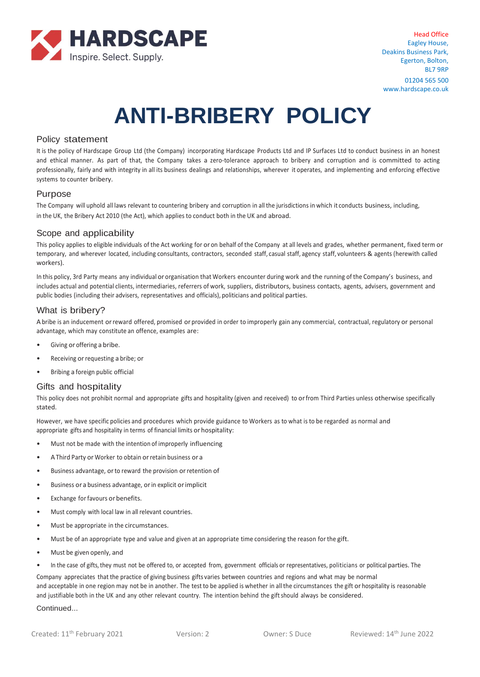

# **ANTI-BRIBERY POLICY**

### Policy statement

It is the policy of Hardscape Group Ltd (the Company) incorporating Hardscape Products Ltd and IP Surfaces Ltd to conduct business in an honest and ethical manner. As part of that, the Company takes a zero-tolerance approach to bribery and corruption and is committed to acting professionally, fairly and with integrity in all its business dealings and relationships, wherever it operates, and implementing and enforcing effective systems to counter bribery.

### Purpose

The Company will uphold all laws relevant to countering bribery and corruption in all the jurisdictions in which it conducts business, including, in the UK, the Bribery Act 2010 (the Act), which applies to conduct both in the UK and abroad.

### Scope and applicability

This policy applies to eligible individuals of the Act working for or on behalf of the Company at all levels and grades, whether permanent, fixed term or temporary, and wherever located, including consultants, contractors, seconded staff, casual staff, agency staff, volunteers & agents (herewith called workers).

In this policy, 3rd Party means any individual or organisation that Workers encounter during work and the running of the Company's business, and includes actual and potential clients, intermediaries, referrers of work, suppliers, distributors, business contacts, agents, advisers, government and public bodies (including their advisers, representatives and officials), politicians and political parties.

## What is bribery?

A bribe is an inducement orreward offered, promised or provided in order to improperly gain any commercial, contractual, regulatory or personal advantage, which may constitute an offence, examples are:

- Giving or offering a bribe.
- Receiving or requesting a bribe; or
- Bribing a foreign public official

## Gifts and hospitality

This policy does not prohibit normal and appropriate gifts and hospitality (given and received) to orfrom Third Parties unless otherwise specifically stated.

However, we have specific policies and procedures which provide guidance to Workers as to what is to be regarded as normal and appropriate gifts and hospitality in terms of financial limits or hospitality:

- Must not be made with the intention of improperly influencing
- AThird Party or Worker to obtain orretain business or a
- Business advantage, orto reward the provision orretention of
- Business or a business advantage, or in explicit or implicit
- Exchange for favours or benefits.
- Must comply with local law in all relevant countries.
- Must be appropriate in the circumstances.
- Must be of an appropriate type and value and given at an appropriate time considering the reason for the gift.
- Must be given openly, and
- In the case of gifts, they must not be offered to, or accepted from, government officials or representatives, politicians or political parties. The

Company appreciates that the practice of giving business gifts varies between countries and regions and what may be normal and acceptable in one region may not be in another. The test to be applied is whether in all the circumstances the gift or hospitality is reasonable and justifiable both in the UK and any other relevant country. The intention behind the gift should always be considered.

Continued...